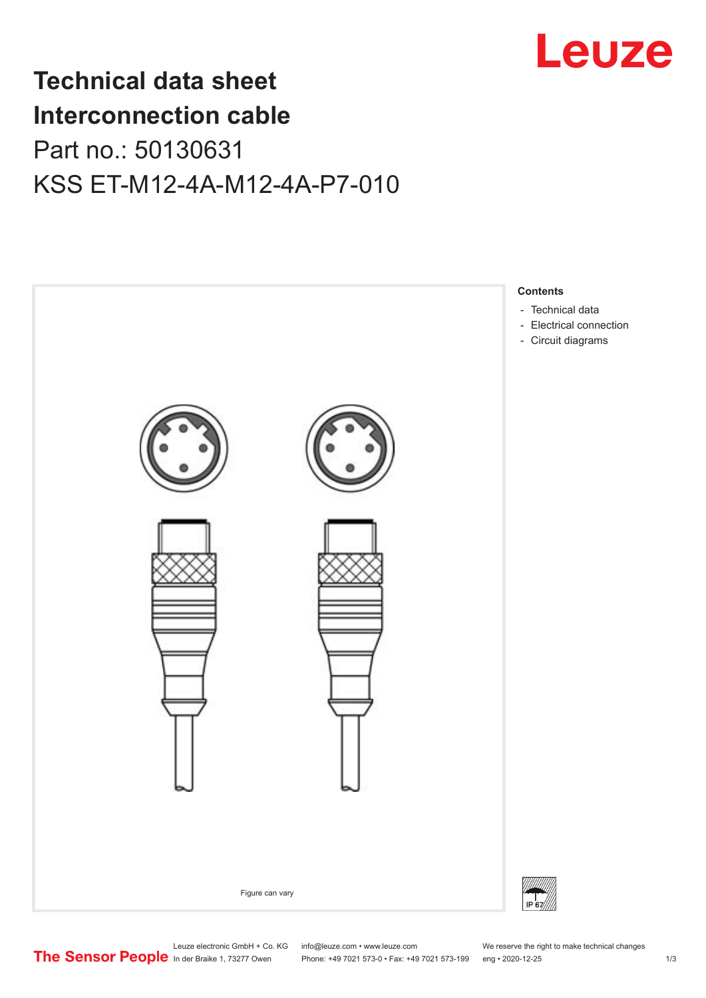

## **Technical data sheet Interconnection cable** Part no.: 50130631 KSS ET-M12-4A-M12-4A-P7-010



Leuze electronic GmbH + Co. KG info@leuze.com • www.leuze.com We reserve the right to make technical changes<br>
The Sensor People in der Braike 1, 73277 Owen Phone: +49 7021 573-0 • Fax: +49 7021 573-199 eng • 2020-12-25

Phone: +49 7021 573-0 • Fax: +49 7021 573-199 eng • 2020-12-25 1 2020-12-25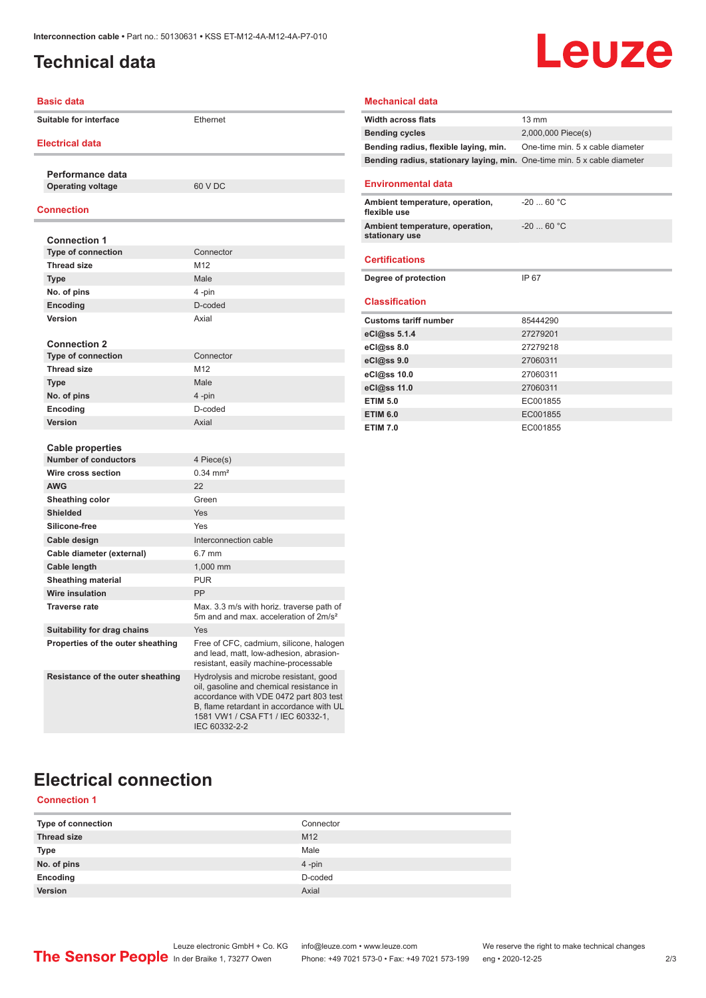### <span id="page-1-0"></span>**Technical data**

# Leuze

| Basic data                                             |                                                                                                                                                                                                                                | <b>Mechanical data</b>                      |
|--------------------------------------------------------|--------------------------------------------------------------------------------------------------------------------------------------------------------------------------------------------------------------------------------|---------------------------------------------|
| Suitable for interface                                 | Ethernet                                                                                                                                                                                                                       | Width across flats<br><b>Bending cycles</b> |
| <b>Electrical data</b>                                 |                                                                                                                                                                                                                                | Bending radius, fle                         |
|                                                        |                                                                                                                                                                                                                                | Bending radius, sta                         |
| Performance data                                       |                                                                                                                                                                                                                                |                                             |
| <b>Operating voltage</b>                               | 60 V DC                                                                                                                                                                                                                        | <b>Environmental d</b>                      |
| <b>Connection</b>                                      |                                                                                                                                                                                                                                | Ambient temperatu<br>flexible use           |
|                                                        |                                                                                                                                                                                                                                | <b>Ambient temperatu</b>                    |
| <b>Connection 1</b>                                    |                                                                                                                                                                                                                                | stationary use                              |
| <b>Type of connection</b>                              | Connector                                                                                                                                                                                                                      | <b>Certifications</b>                       |
| <b>Thread size</b>                                     | M12                                                                                                                                                                                                                            |                                             |
| <b>Type</b>                                            | Male                                                                                                                                                                                                                           | Degree of protectio                         |
| No. of pins                                            | 4 -pin                                                                                                                                                                                                                         | <b>Classification</b>                       |
| Encoding                                               | D-coded                                                                                                                                                                                                                        |                                             |
| Version                                                | Axial                                                                                                                                                                                                                          | <b>Customs tariff num</b>                   |
|                                                        |                                                                                                                                                                                                                                | eCl@ss 5.1.4                                |
| <b>Connection 2</b><br><b>Type of connection</b>       |                                                                                                                                                                                                                                | eCl@ss 8.0                                  |
|                                                        | Connector<br>M12                                                                                                                                                                                                               | eCl@ss 9.0                                  |
| <b>Thread size</b>                                     |                                                                                                                                                                                                                                | eCl@ss 10.0                                 |
| <b>Type</b>                                            | Male                                                                                                                                                                                                                           | eCl@ss 11.0                                 |
| No. of pins                                            | 4-pin                                                                                                                                                                                                                          | <b>ETIM 5.0</b>                             |
| Encoding                                               | D-coded                                                                                                                                                                                                                        | <b>ETIM 6.0</b>                             |
| <b>Version</b>                                         | Axial                                                                                                                                                                                                                          | <b>ETIM 7.0</b>                             |
|                                                        |                                                                                                                                                                                                                                |                                             |
| <b>Cable properties</b><br><b>Number of conductors</b> | 4 Piece(s)                                                                                                                                                                                                                     |                                             |
| Wire cross section                                     | $0.34$ mm <sup>2</sup>                                                                                                                                                                                                         |                                             |
| <b>AWG</b>                                             | 22                                                                                                                                                                                                                             |                                             |
| Sheathing color                                        | Green                                                                                                                                                                                                                          |                                             |
| <b>Shielded</b>                                        | Yes                                                                                                                                                                                                                            |                                             |
| Silicone-free                                          | Yes                                                                                                                                                                                                                            |                                             |
|                                                        | Interconnection cable                                                                                                                                                                                                          |                                             |
| Cable design<br>Cable diameter (external)              | 6.7 mm                                                                                                                                                                                                                         |                                             |
|                                                        | 1,000 mm                                                                                                                                                                                                                       |                                             |
| Cable length                                           | <b>PUR</b>                                                                                                                                                                                                                     |                                             |
| <b>Sheathing material</b><br><b>Wire insulation</b>    | PP                                                                                                                                                                                                                             |                                             |
| <b>Traverse rate</b>                                   |                                                                                                                                                                                                                                |                                             |
|                                                        | Max. 3.3 m/s with horiz. traverse path of<br>5m and and max, acceleration of 2m/s <sup>2</sup>                                                                                                                                 |                                             |
| <b>Suitability for drag chains</b>                     | Yes                                                                                                                                                                                                                            |                                             |
| Properties of the outer sheathing                      | Free of CFC, cadmium, silicone, halogen<br>and lead, matt, low-adhesion, abrasion-<br>resistant, easily machine-processable                                                                                                    |                                             |
| Resistance of the outer sheathing                      | Hydrolysis and microbe resistant, good<br>oil, gasoline and chemical resistance in<br>accordance with VDE 0472 part 803 test<br>B, flame retardant in accordance with UL<br>1581 VW1 / CSA FT1 / IEC 60332-1,<br>IEC 60332-2-2 |                                             |

| <b>Width across flats</b>                                                       | $13 \text{ mm}$                  |
|---------------------------------------------------------------------------------|----------------------------------|
| <b>Bending cycles</b>                                                           | 2,000,000 Piece(s)               |
| Bending radius, flexible laying, min.                                           | One-time min. 5 x cable diameter |
| <b>Bending radius, stationary laying, min.</b> One-time min. 5 x cable diameter |                                  |
| <b>Environmental data</b>                                                       |                                  |
| Ambient temperature, operation,<br>flexible use                                 | $-2060 °C$                       |
| Ambient temperature, operation,<br>stationary use                               | $-2060 °C$                       |
| <b>Certifications</b>                                                           |                                  |
| Degree of protection                                                            | IP 67                            |
| <b>Classification</b>                                                           |                                  |
| <b>Customs tariff number</b>                                                    | 85444290                         |
| eCl@ss 5.1.4                                                                    | 27279201                         |
| eCl@ss 8.0                                                                      | 27279218                         |
| eCl@ss 9.0                                                                      | 27060311                         |
| eCl@ss 10.0                                                                     | 27060311                         |
| eCl@ss 11.0                                                                     | 27060311                         |
| <b>ETIM 5.0</b>                                                                 | EC001855                         |
| <b>ETIM 6.0</b>                                                                 | EC001855                         |
| <b>ETIM 7.0</b>                                                                 | EC001855                         |

## **Electrical connection**

#### **Connection 1**

| Type of connection | Connector       |
|--------------------|-----------------|
| <b>Thread size</b> | M <sub>12</sub> |
| <b>Type</b>        | Male            |
| No. of pins        | 4-pin           |
| Encoding           | D-coded         |
| Version            | Axial           |
|                    |                 |

Leuze electronic GmbH + Co. KG info@leuze.com • www.leuze.com We reserve the right to make technical changes ln der Braike 1, 73277 Owen Phone: +49 7021 573-0 • Fax: +49 7021 573-199 eng • 2020-12-25 2/3